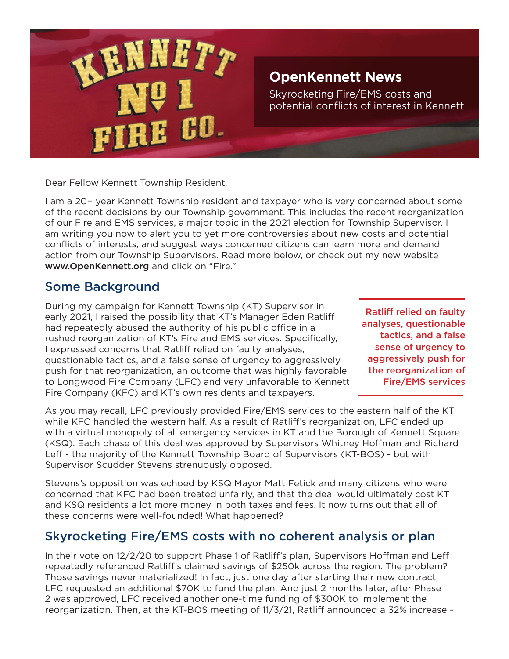

Dear Fellow Kennett Township Resident,

I am a 20+ year Kennett Township resident and taxpayer who is very concerned about some of the recent decisions by our Township government. This includes the recent reorganization of our Fire and EMS services, a major topic in the 2021 election for Township Supervisor. I am writing you now to alert you to yet more controversies about new costs and potential conflicts of interests, and suggest ways concerned citizens can learn more and demand action from our Township Supervisors. Read more below, or check out my new website www.OpenKennett.org and click on "Fire."

### Some Background

During my campaign for Kennett Township (KT) Supervisor in early 2021, I raised the possibility that KT's Manager Eden Ratliff had repeatedly abused the authority of his public office in a rushed reorganization of KT's Fire and EMS services. Specifically, I expressed concerns that Ratliff relied on faulty analyses, questionable tactics, and a false sense of urgency to aggressively push for that reorganization, an outcome that was highly favorable to Longwood Fire Company (LFC) and very unfavorable to Kennett Fire Company (KFC) and KT's own residents and taxpayers.

Ratliff relied on faulty analyses, questionable tactics, and a false sense of urgency to aggressively push for the reorganization of Fire/EMS services

As you may recall, LFC previously provided Fire/EMS services to the eastern half of the KT while KFC handled the western half. As a result of Ratliff's reorganization, LFC ended up with a virtual monopoly of all emergency services in KT and the Borough of Kennett Square (KSQ). Each phase of this deal was approved by Supervisors Whitney Hoffman and Richard Leff - the majority of the Kennett Township Board of Supervisors (KT-BOS) - but with Supervisor Scudder Stevens strenuously opposed.

Stevens's opposition was echoed by KSQ Mayor Matt Fetick and many citizens who were concerned that KFC had been treated unfairly, and that the deal would ultimately cost KT and KSQ residents a lot more money in both taxes and fees. It now turns out that all of these concerns were well-founded! What happened?

# Skyrocketing Fire/EMS costs with no coherent analysis or plan

In their vote on 12/2/20 to support Phase 1 of Ratliff's plan, Supervisors Hoffman and Leff repeatedly referenced Ratliff's claimed savings of \$250k across the region. The problem? Those savings never materialized! In fact, just one day after starting their new contract, LFC requested an additional \$70K to fund the plan. And just 2 months later, after Phase 2 was approved, LFC received another one-time funding of \$300K to implement the reorganization. Then, at the KT-BOS meeting of 11/3/21, Ratliff announced a 32% increase -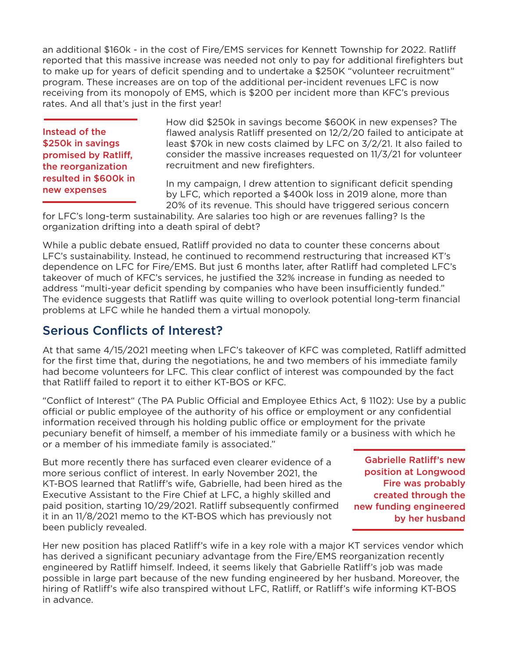an additional \$160k - in the cost of Fire/EMS services for Kennett Township for 2022. Ratliff reported that this massive increase was needed not only to pay for additional firefighters but to make up for years of deficit spending and to undertake a \$250K "volunteer recruitment" program. These increases are on top of the additional per-incident revenues LFC is now receiving from its monopoly of EMS, which is \$200 per incident more than KFC's previous rates. And all that's just in the first year!

Instead of the \$250k in savings promised by Ratliff, the reorganization resulted in \$600k in new expenses

How did \$250k in savings become \$600K in new expenses? The flawed analysis Ratliff presented on 12/2/20 failed to anticipate at least \$70k in new costs claimed by LFC on 3/2/21. It also failed to consider the massive increases requested on 11/3/21 for volunteer recruitment and new firefighters.

In my campaign, I drew attention to significant deficit spending by LFC, which reported a \$400k loss in 2019 alone, more than 20% of its revenue. This should have triggered serious concern

for LFC's long-term sustainability. Are salaries too high or are revenues falling? Is the organization drifting into a death spiral of debt?

While a public debate ensued, Ratliff provided no data to counter these concerns about LFC's sustainability. Instead, he continued to recommend restructuring that increased KT's dependence on LFC for Fire/EMS. But just 6 months later, after Ratliff had completed LFC's takeover of much of KFC's services, he justified the 32% increase in funding as needed to address "multi-year deficit spending by companies who have been insufficiently funded." The evidence suggests that Ratliff was quite willing to overlook potential long-term financial problems at LFC while he handed them a virtual monopoly.

# Serious Conflicts of Interest?

At that same 4/15/2021 meeting when LFC's takeover of KFC was completed, Ratliff admitted for the first time that, during the negotiations, he and two members of his immediate family had become volunteers for LFC. This clear conflict of interest was compounded by the fact that Ratliff failed to report it to either KT-BOS or KFC.

"Conflict of Interest" (The PA Public Official and Employee Ethics Act, § 1102): Use by a public official or public employee of the authority of his office or employment or any confidential information received through his holding public office or employment for the private pecuniary benefit of himself, a member of his immediate family or a business with which he or a member of his immediate family is associated."

But more recently there has surfaced even clearer evidence of a more serious conflict of interest. In early November 2021, the KT-BOS learned that Ratliff's wife, Gabrielle, had been hired as the Executive Assistant to the Fire Chief at LFC, a highly skilled and paid position, starting 10/29/2021. Ratliff subsequently confirmed it in an 11/8/2021 memo to the KT-BOS which has previously not been publicly revealed.

Gabrielle Ratliff's new position at Longwood Fire was probably created through the new funding engineered by her husband

Her new position has placed Ratliff's wife in a key role with a major KT services vendor which has derived a significant pecuniary advantage from the Fire/EMS reorganization recently engineered by Ratliff himself. Indeed, it seems likely that Gabrielle Ratliff's job was made possible in large part because of the new funding engineered by her husband. Moreover, the hiring of Ratliff's wife also transpired without LFC, Ratliff, or Ratliff's wife informing KT-BOS in advance.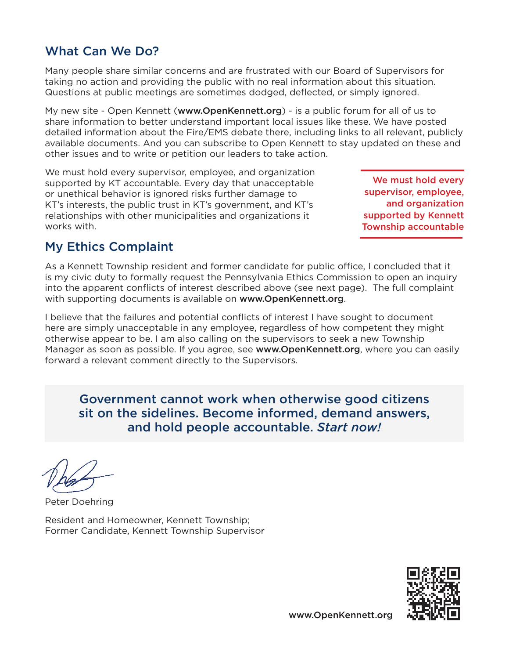#### www.OpenKennett.org

## What Can We Do?

Many people share similar concerns and are frustrated with our Board of Supervisors for taking no action and providing the public with no real information about this situation. Questions at public meetings are sometimes dodged, deflected, or simply ignored.

My new site - Open Kennett (www.OpenKennett.org) - is a public forum for all of us to share information to better understand important local issues like these. We have posted detailed information about the Fire/EMS debate there, including links to all relevant, publicly available documents. And you can subscribe to Open Kennett to stay updated on these and other issues and to write or petition our leaders to take action.

We must hold every supervisor, employee, and organization supported by KT accountable. Every day that unacceptable or unethical behavior is ignored risks further damage to KT's interests, the public trust in KT's government, and KT's relationships with other municipalities and organizations it works with.

We must hold every supervisor, employee, and organization supported by Kennett Township accountable

### My Ethics Complaint

As a Kennett Township resident and former candidate for public office, I concluded that it is my civic duty to formally request the Pennsylvania Ethics Commission to open an inquiry into the apparent conflicts of interest described above (see next page). The full complaint with supporting documents is available on www.OpenKennett.org.

I believe that the failures and potential conflicts of interest I have sought to document here are simply unacceptable in any employee, regardless of how competent they might otherwise appear to be. I am also calling on the supervisors to seek a new Township Manager as soon as possible. If you agree, see www.OpenKennett.org, where you can easily forward a relevant comment directly to the Supervisors.

Government cannot work when otherwise good citizens sit on the sidelines. Become informed, demand answers, and hold people accountable. *Start now!*

Peter Doehring

Resident and Homeowner, Kennett Township; Former Candidate, Kennett Township Supervisor